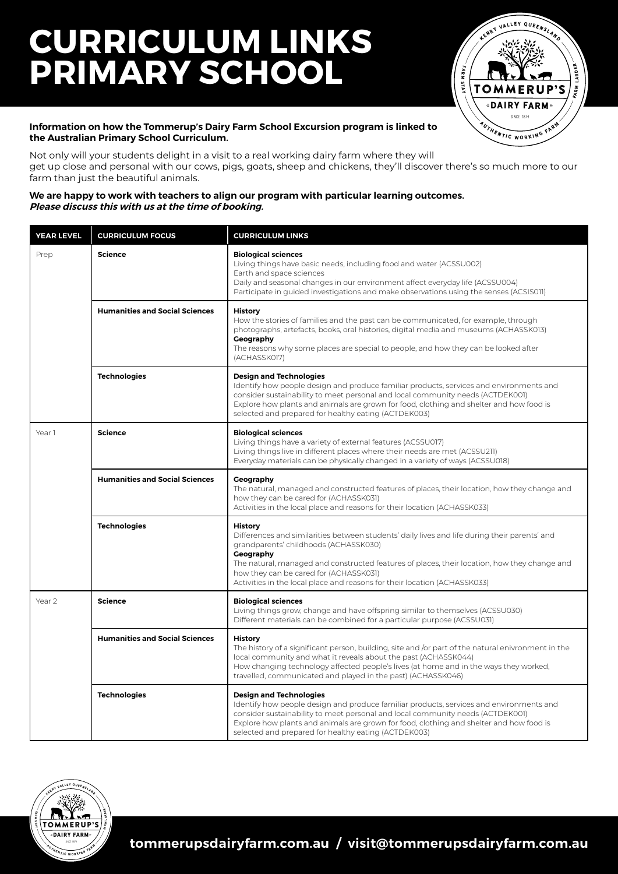## **CURRICULUM LINKS PRIMARY SCHOOL**



#### **Information on how the Tommerup's Dairy Farm School Excursion program is linked to the Australian Primary School Curriculum.**

Not only will your students delight in a visit to a real working dairy farm where they will get up close and personal with our cows, pigs, goats, sheep and chickens, they'll discover there's so much more to our farm than just the beautiful animals.

#### **We are happy to work with teachers to align our program with particular learning outcomes. Please discuss this with us at the time of booking.**

| <b>YEAR LEVEL</b> | <b>CURRICULUM FOCUS</b>               | <b>CURRICULUM LINKS</b>                                                                                                                                                                                                                                                                                                                                                                      |
|-------------------|---------------------------------------|----------------------------------------------------------------------------------------------------------------------------------------------------------------------------------------------------------------------------------------------------------------------------------------------------------------------------------------------------------------------------------------------|
| Prep              | <b>Science</b>                        | <b>Biological sciences</b><br>Living things have basic needs, including food and water (ACSSU002)<br>Earth and space sciences<br>Daily and seasonal changes in our environment affect everyday life (ACSSU004)<br>Participate in guided investigations and make observations using the senses (ACSIS011)                                                                                     |
|                   | <b>Humanities and Social Sciences</b> | <b>History</b><br>How the stories of families and the past can be communicated, for example, through<br>photographs, artefacts, books, oral histories, digital media and museums (ACHASSK013)<br>Geography<br>The reasons why some places are special to people, and how they can be looked after<br>(ACHASSK017)                                                                            |
|                   | <b>Technologies</b>                   | <b>Design and Technologies</b><br>Identify how people design and produce familiar products, services and environments and<br>consider sustainability to meet personal and local community needs (ACTDEK001)<br>Explore how plants and animals are grown for food, clothing and shelter and how food is<br>selected and prepared for healthy eating (ACTDEK003)                               |
| Year 1            | <b>Science</b>                        | <b>Biological sciences</b><br>Living things have a variety of external features (ACSSU017)<br>Living things live in different places where their needs are met (ACSSU211)<br>Everyday materials can be physically changed in a variety of ways (ACSSU018)                                                                                                                                    |
|                   | <b>Humanities and Social Sciences</b> | Geography<br>The natural, managed and constructed features of places, their location, how they change and<br>how they can be cared for (ACHASSK031)<br>Activities in the local place and reasons for their location (ACHASSK033)                                                                                                                                                             |
|                   | <b>Technologies</b>                   | <b>History</b><br>Differences and similarities between students' daily lives and life during their parents' and<br>grandparents' childhoods (ACHASSK030)<br>Geography<br>The natural, managed and constructed features of places, their location, how they change and<br>how they can be cared for (ACHASSK031)<br>Activities in the local place and reasons for their location (ACHASSK033) |
| Year 2            | <b>Science</b>                        | <b>Biological sciences</b><br>Living things grow, change and have offspring similar to themselves (ACSSU030)<br>Different materials can be combined for a particular purpose (ACSSU031)                                                                                                                                                                                                      |
|                   | <b>Humanities and Social Sciences</b> | <b>History</b><br>The history of a significant person, building, site and /or part of the natural enivronment in the<br>local community and what it reveals about the past (ACHASSK044)<br>How changing technology affected people's lives (at home and in the ways they worked,<br>travelled, communicated and played in the past) (ACHASSK046)                                             |
|                   | <b>Technologies</b>                   | <b>Design and Technologies</b><br>Identify how people design and produce familiar products, services and environments and<br>consider sustainability to meet personal and local community needs (ACTDEK001)<br>Explore how plants and animals are grown for food, clothing and shelter and how food is<br>selected and prepared for healthy eating (ACTDEK003)                               |

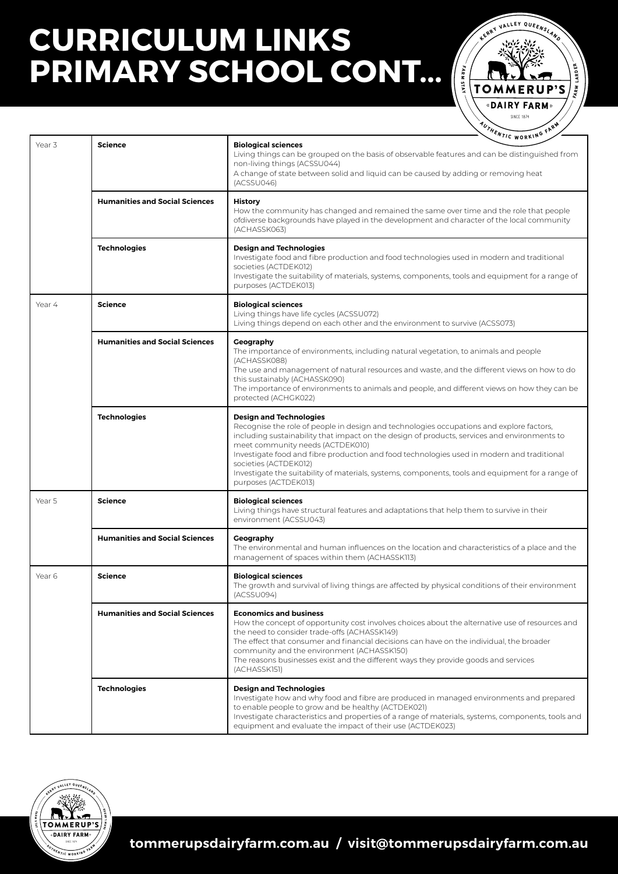# **CURRICULUM LINKS PRIMARY SCHOOL CONT... (**



|        |                                       | AUTHENTIC WORKING FARM                                                                                                                                                                                                                                                                                                                                                                                                                                                                                             |
|--------|---------------------------------------|--------------------------------------------------------------------------------------------------------------------------------------------------------------------------------------------------------------------------------------------------------------------------------------------------------------------------------------------------------------------------------------------------------------------------------------------------------------------------------------------------------------------|
| Year 3 | <b>Science</b>                        | <b>Biological sciences</b><br>Living things can be grouped on the basis of observable features and can be distinguished from<br>non-living things (ACSSU044)<br>A change of state between solid and liquid can be caused by adding or removing heat<br>(ACSSU046)                                                                                                                                                                                                                                                  |
|        | <b>Humanities and Social Sciences</b> | <b>History</b><br>How the community has changed and remained the same over time and the role that people<br>ofdiverse backgrounds have played in the development and character of the local community<br>(ACHASSK063)                                                                                                                                                                                                                                                                                              |
|        | <b>Technologies</b>                   | <b>Design and Technologies</b><br>Investigate food and fibre production and food technologies used in modern and traditional<br>societies (ACTDEK012)<br>Investigate the suitability of materials, systems, components, tools and equipment for a range of<br>purposes (ACTDEK013)                                                                                                                                                                                                                                 |
| Year 4 | <b>Science</b>                        | <b>Biological sciences</b><br>Living things have life cycles (ACSSU072)<br>Living things depend on each other and the environment to survive (ACSS073)                                                                                                                                                                                                                                                                                                                                                             |
|        | <b>Humanities and Social Sciences</b> | Geography<br>The importance of environments, including natural vegetation, to animals and people<br>(ACHASSK088)<br>The use and management of natural resources and waste, and the different views on how to do<br>this sustainably (ACHASSK090)<br>The importance of environments to animals and people, and different views on how they can be<br>protected (ACHGK022)                                                                                                                                           |
|        | <b>Technologies</b>                   | <b>Design and Technologies</b><br>Recognise the role of people in design and technologies occupations and explore factors,<br>including sustainability that impact on the design of products, services and environments to<br>meet community needs (ACTDEK010)<br>Investigate food and fibre production and food technologies used in modern and traditional<br>societies (ACTDEK012)<br>Investigate the suitability of materials, systems, components, tools and equipment for a range of<br>purposes (ACTDEK013) |
| Year 5 | <b>Science</b>                        | <b>Biological sciences</b><br>Living things have structural features and adaptations that help them to survive in their<br>environment (ACSSU043)                                                                                                                                                                                                                                                                                                                                                                  |
|        | <b>Humanities and Social Sciences</b> | Geography<br>The environmental and human influences on the location and characteristics of a place and the<br>management of spaces within them (ACHASSK113)                                                                                                                                                                                                                                                                                                                                                        |
| Year 6 | <b>Science</b>                        | <b>Biological sciences</b><br>The growth and survival of living things are affected by physical conditions of their environment<br>(ACSSU094)                                                                                                                                                                                                                                                                                                                                                                      |
|        | <b>Humanities and Social Sciences</b> | <b>Economics and business</b><br>How the concept of opportunity cost involves choices about the alternative use of resources and<br>the need to consider trade-offs (ACHASSK149)<br>The effect that consumer and financial decisions can have on the individual, the broader<br>community and the environment (ACHASSK150)<br>The reasons businesses exist and the different ways they provide goods and services<br>(ACHASSK151)                                                                                  |
|        | <b>Technologies</b>                   | <b>Design and Technologies</b><br>Investigate how and why food and fibre are produced in managed environments and prepared<br>to enable people to grow and be healthy (ACTDEK021)<br>Investigate characteristics and properties of a range of materials, systems, components, tools and<br>equipment and evaluate the impact of their use (ACTDEK023)                                                                                                                                                              |